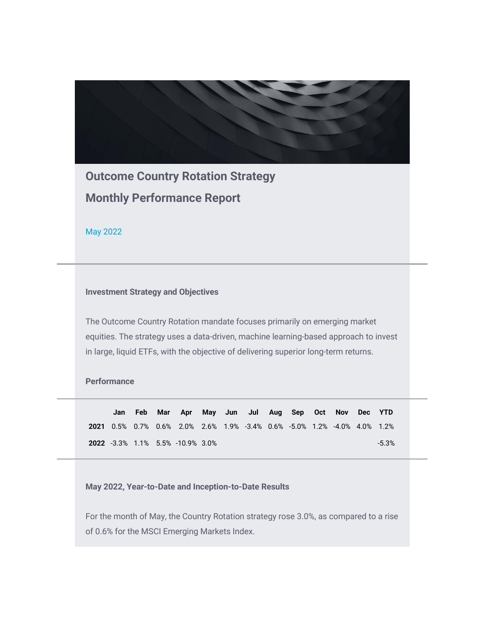

**Outcome Country Rotation Strategy Monthly Performance Report**

May 2022

## **Investment Strategy and Objectives**

The Outcome Country Rotation mandate focuses primarily on emerging market equities. The strategy uses a data-driven, machine learning-based approach to invest in large, liquid ETFs, with the objective of delivering superior long-term returns.

## **Performance**

**Jan Feb Mar Apr May Jun Jul Aug Sep Oct Nov Dec YTD 2021** 0.5% 0.7% 0.6% 2.0% 2.6% 1.9% -3.4% 0.6% -5.0% 1.2% -4.0% 4.0% 1.2% **2022** -3.3% 1.1% 5.5% -10.9% 3.0% -5.3%

**May 2022, Year-to-Date and Inception-to-Date Results** 

For the month of May, the Country Rotation strategy rose 3.0%, as compared to a rise of 0.6% for the MSCI Emerging Markets Index.